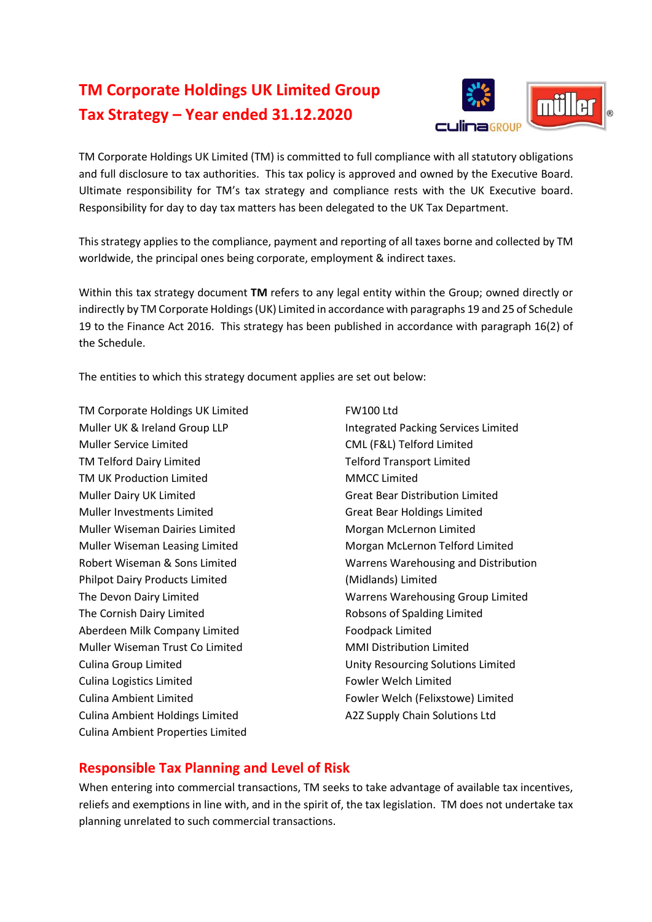## **TM Corporate Holdings UK Limited Group Tax Strategy – Year ended 31.12.2020**



TM Corporate Holdings UK Limited (TM) is committed to full compliance with all statutory obligations and full disclosure to tax authorities. This tax policy is approved and owned by the Executive Board. Ultimate responsibility for TM's tax strategy and compliance rests with the UK Executive board. Responsibility for day to day tax matters has been delegated to the UK Tax Department.

This strategy applies to the compliance, payment and reporting of all taxes borne and collected by TM worldwide, the principal ones being corporate, employment & indirect taxes.

Within this tax strategy document **TM** refers to any legal entity within the Group; owned directly or indirectly by TM Corporate Holdings (UK) Limited in accordance with paragraphs 19 and 25 of Schedule 19 to the Finance Act 2016. This strategy has been published in accordance with paragraph 16(2) of the Schedule.

The entities to which this strategy document applies are set out below:

TM Corporate Holdings UK Limited Muller UK & Ireland Group LLP Muller Service Limited TM Telford Dairy Limited TM UK Production Limited Muller Dairy UK Limited Muller Investments Limited Muller Wiseman Dairies Limited Muller Wiseman Leasing Limited Robert Wiseman & Sons Limited Philpot Dairy Products Limited The Devon Dairy Limited The Cornish Dairy Limited Aberdeen Milk Company Limited Muller Wiseman Trust Co Limited Culina Group Limited Culina Logistics Limited Culina Ambient Limited Culina Ambient Holdings Limited Culina Ambient Properties Limited

FW100 Ltd Integrated Packing Services Limited CML (F&L) Telford Limited Telford Transport Limited MMCC Limited Great Bear Distribution Limited Great Bear Holdings Limited Morgan McLernon Limited Morgan McLernon Telford Limited Warrens Warehousing and Distribution (Midlands) Limited Warrens Warehousing Group Limited Robsons of Spalding Limited Foodpack Limited MMI Distribution Limited Unity Resourcing Solutions Limited Fowler Welch Limited Fowler Welch (Felixstowe) Limited A2Z Supply Chain Solutions Ltd

## **Responsible Tax Planning and Level of Risk**

When entering into commercial transactions, TM seeks to take advantage of available tax incentives, reliefs and exemptions in line with, and in the spirit of, the tax legislation. TM does not undertake tax planning unrelated to such commercial transactions.